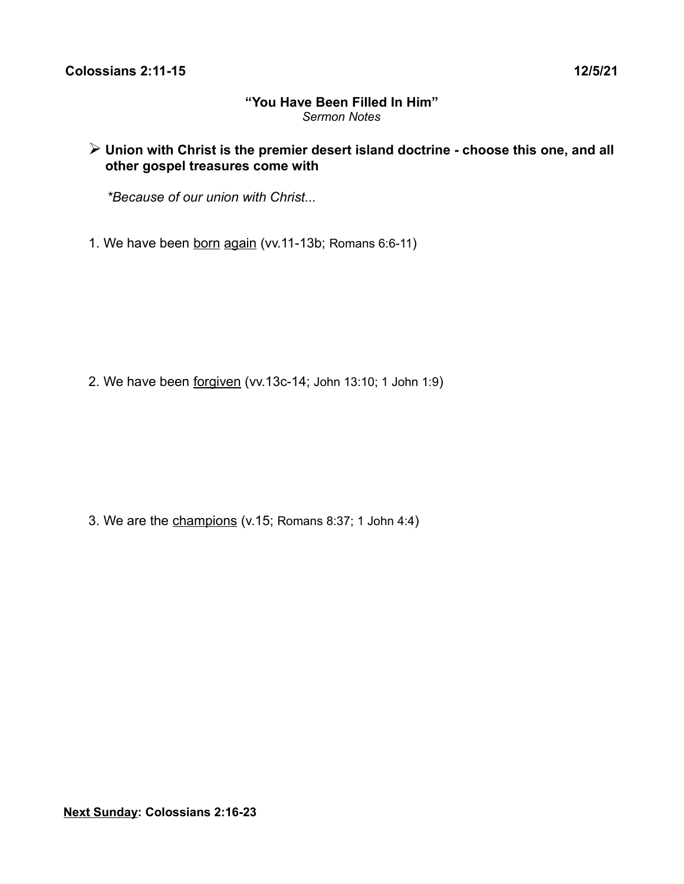#### **"You Have Been Filled In Him"** *Sermon Notes*

## ➢ **Union with Christ is the premier desert island doctrine - choose this one, and all other gospel treasures come with**

*\*Because of our union with Christ...*

1. We have been born again (vv.11-13b; Romans 6:6-11)

2. We have been forgiven (vv.13c-14; John 13:10; 1 John 1:9)

3. We are the champions (v.15; Romans 8:37; 1 John 4:4)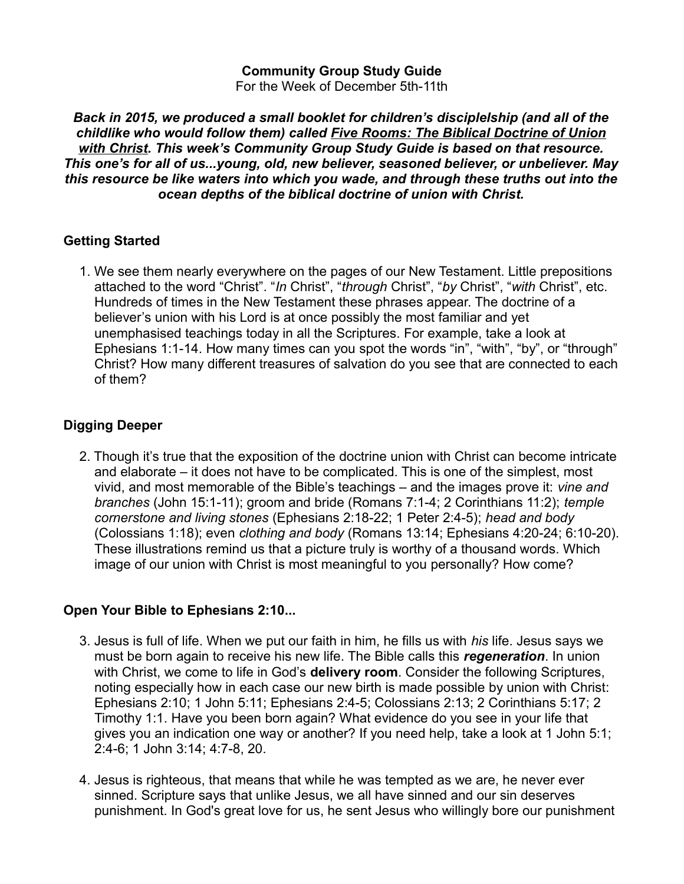# **Community Group Study Guide**

For the Week of December 5th-11th

*Back in 2015, we produced a small booklet for children's disciplelship (and all of the childlike who would follow them) called Five Rooms: The Biblical Doctrine of Union with Christ. This week's Community Group Study Guide is based on that resource. This one's for all of us...young, old, new believer, seasoned believer, or unbeliever. May this resource be like waters into which you wade, and through these truths out into the ocean depths of the biblical doctrine of union with Christ.*

#### **Getting Started**

1. We see them nearly everywhere on the pages of our New Testament. Little prepositions attached to the word "Christ". "*In* Christ", "*through* Christ", "*by* Christ", "*with* Christ", etc. Hundreds of times in the New Testament these phrases appear. The doctrine of a believer's union with his Lord is at once possibly the most familiar and yet unemphasised teachings today in all the Scriptures. For example, take a look at Ephesians 1:1-14. How many times can you spot the words "in", "with", "by", or "through" Christ? How many different treasures of salvation do you see that are connected to each of them?

## **Digging Deeper**

2. Though it's true that the exposition of the doctrine union with Christ can become intricate and elaborate – it does not have to be complicated. This is one of the simplest, most vivid, and most memorable of the Bible's teachings – and the images prove it: *vine and branches* (John 15:1-11); groom and bride (Romans 7:1-4; 2 Corinthians 11:2); *temple cornerstone and living stones* (Ephesians 2:18-22; 1 Peter 2:4-5); *head and body* (Colossians 1:18); even *clothing and body* (Romans 13:14; Ephesians 4:20-24; 6:10-20). These illustrations remind us that a picture truly is worthy of a thousand words. Which image of our union with Christ is most meaningful to you personally? How come?

## **Open Your Bible to Ephesians 2:10...**

- 3. Jesus is full of life. When we put our faith in him, he fills us with *his* life. Jesus says we must be born again to receive his new life. The Bible calls this *regeneration*. In union with Christ, we come to life in God's **delivery room**. Consider the following Scriptures, noting especially how in each case our new birth is made possible by union with Christ: Ephesians 2:10; 1 John 5:11; Ephesians 2:4-5; Colossians 2:13; 2 Corinthians 5:17; 2 Timothy 1:1. Have you been born again? What evidence do you see in your life that gives you an indication one way or another? If you need help, take a look at 1 John 5:1; 2:4-6; 1 John 3:14; 4:7-8, 20.
- 4. Jesus is righteous, that means that while he was tempted as we are, he never ever sinned. Scripture says that unlike Jesus, we all have sinned and our sin deserves punishment. In God's great love for us, he sent Jesus who willingly bore our punishment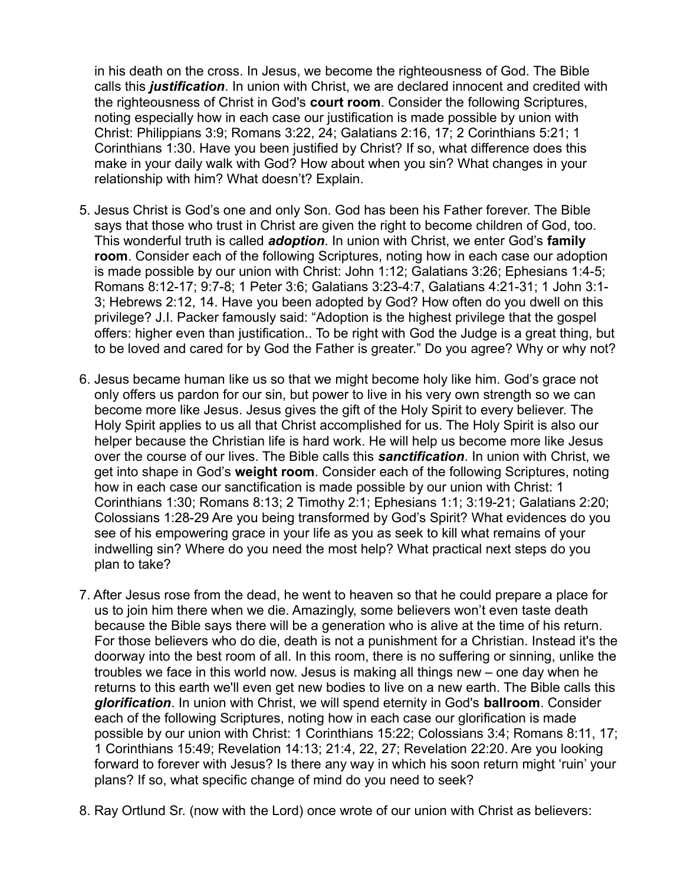in his death on the cross. In Jesus, we become the righteousness of God. The Bible calls this *justification*. In union with Christ, we are declared innocent and credited with the righteousness of Christ in God's **court room**. Consider the following Scriptures, noting especially how in each case our justification is made possible by union with Christ: Philippians 3:9; Romans 3:22, 24; Galatians 2:16, 17; 2 Corinthians 5:21; 1 Corinthians 1:30. Have you been justified by Christ? If so, what difference does this make in your daily walk with God? How about when you sin? What changes in your relationship with him? What doesn't? Explain.

- 5. Jesus Christ is God's one and only Son. God has been his Father forever. The Bible says that those who trust in Christ are given the right to become children of God, too. This wonderful truth is called *adoption*. In union with Christ, we enter God's **family room**. Consider each of the following Scriptures, noting how in each case our adoption is made possible by our union with Christ: John 1:12; Galatians 3:26; Ephesians 1:4-5; Romans 8:12-17; 9:7-8; 1 Peter 3:6; Galatians 3:23-4:7, Galatians 4:21-31; 1 John 3:1- 3; Hebrews 2:12, 14. Have you been adopted by God? How often do you dwell on this privilege? J.I. Packer famously said: "Adoption is the highest privilege that the gospel offers: higher even than justification.. To be right with God the Judge is a great thing, but to be loved and cared for by God the Father is greater." Do you agree? Why or why not?
- 6. Jesus became human like us so that we might become holy like him. God's grace not only offers us pardon for our sin, but power to live in his very own strength so we can become more like Jesus. Jesus gives the gift of the Holy Spirit to every believer. The Holy Spirit applies to us all that Christ accomplished for us. The Holy Spirit is also our helper because the Christian life is hard work. He will help us become more like Jesus over the course of our lives. The Bible calls this *sanctification*. In union with Christ, we get into shape in God's **weight room**. Consider each of the following Scriptures, noting how in each case our sanctification is made possible by our union with Christ: 1 Corinthians 1:30; Romans 8:13; 2 Timothy 2:1; Ephesians 1:1; 3:19-21; Galatians 2:20; Colossians 1:28-29 Are you being transformed by God's Spirit? What evidences do you see of his empowering grace in your life as you as seek to kill what remains of your indwelling sin? Where do you need the most help? What practical next steps do you plan to take?
- 7. After Jesus rose from the dead, he went to heaven so that he could prepare a place for us to join him there when we die. Amazingly, some believers won't even taste death because the Bible says there will be a generation who is alive at the time of his return. For those believers who do die, death is not a punishment for a Christian. Instead it's the doorway into the best room of all. In this room, there is no suffering or sinning, unlike the troubles we face in this world now. Jesus is making all things new – one day when he returns to this earth we'll even get new bodies to live on a new earth. The Bible calls this *glorification*. In union with Christ, we will spend eternity in God's **ballroom**. Consider each of the following Scriptures, noting how in each case our glorification is made possible by our union with Christ: 1 Corinthians 15:22; Colossians 3:4; Romans 8:11, 17; 1 Corinthians 15:49; Revelation 14:13; 21:4, 22, 27; Revelation 22:20. Are you looking forward to forever with Jesus? Is there any way in which his soon return might 'ruin' your plans? If so, what specific change of mind do you need to seek?
- 8. Ray Ortlund Sr. (now with the Lord) once wrote of our union with Christ as believers: